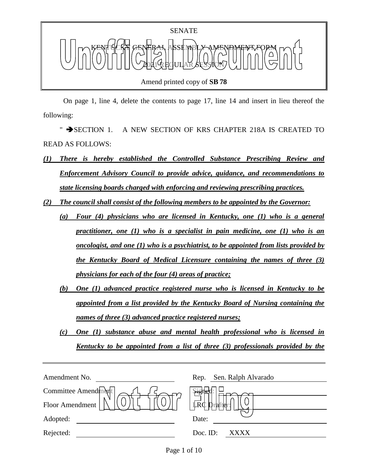

Amend printed copy of **SB 78**

 On page 1, line 4, delete the contents to page 17, line 14 and insert in lieu thereof the following:

" SECTION 1. A NEW SECTION OF KRS CHAPTER 218A IS CREATED TO READ AS FOLLOWS:

- *(1) There is hereby established the Controlled Substance Prescribing Review and Enforcement Advisory Council to provide advice, guidance, and recommendations to state licensing boards charged with enforcing and reviewing prescribing practices.*
- *(2) The council shall consist of the following members to be appointed by the Governor:*
	- *(a) Four (4) physicians who are licensed in Kentucky, one (1) who is a general practitioner, one (1) who is a specialist in pain medicine, one (1) who is an oncologist, and one (1) who is a psychiatrist, to be appointed from lists provided by the Kentucky Board of Medical Licensure containing the names of three (3) physicians for each of the four (4) areas of practice;*
	- *(b) One (1) advanced practice registered nurse who is licensed in Kentucky to be appointed from a list provided by the Kentucky Board of Nursing containing the names of three (3) advanced practice registered nurses;*
	- *(c) One (1) substance abuse and mental health professional who is licensed in Kentucky to be appointed from a list of three (3) professionals provided by the*

| Sen. Ralph Alvarado<br>Rep. |
|-----------------------------|
| signer                      |
| LRC<br>Dralflet             |
| Date:                       |
| Doc. ID:<br>xxxx            |
|                             |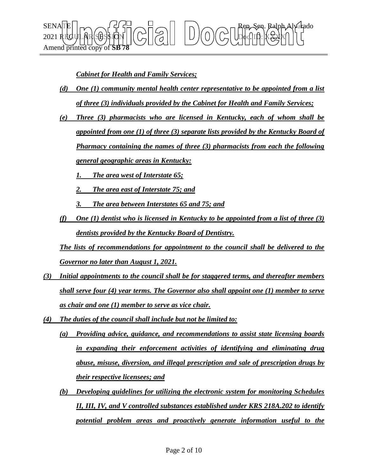

*Cabinet for Health and Family Services;*

- *(d) One (1) community mental health center representative to be appointed from a list of three (3) individuals provided by the Cabinet for Health and Family Services;*
- *(e) Three (3) pharmacists who are licensed in Kentucky, each of whom shall be appointed from one (1) of three (3) separate lists provided by the Kentucky Board of Pharmacy containing the names of three (3) pharmacists from each the following general geographic areas in Kentucky:*
	- *1. The area west of Interstate 65;*
	- *2. The area east of Interstate 75; and*
	- *3. The area between Interstates 65 and 75; and*
- *(f) One (1) dentist who is licensed in Kentucky to be appointed from a list of three (3) dentists provided by the Kentucky Board of Dentistry.*

*The lists of recommendations for appointment to the council shall be delivered to the Governor no later than August 1, 2021.*

- *(3) Initial appointments to the council shall be for staggered terms, and thereafter members shall serve four (4) year terms. The Governor also shall appoint one (1) member to serve as chair and one (1) member to serve as vice chair.*
- *(4) The duties of the council shall include but not be limited to:*
	- *(a) Providing advice, guidance, and recommendations to assist state licensing boards in expanding their enforcement activities of identifying and eliminating drug abuse, misuse, diversion, and illegal prescription and sale of prescription drugs by their respective licensees; and*
	- *(b) Developing guidelines for utilizing the electronic system for monitoring Schedules II, III, IV, and V controlled substances established under KRS 218A.202 to identify potential problem areas and proactively generate information useful to the*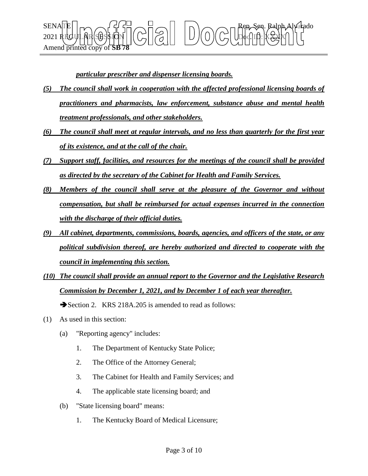$\text{SENA}$ TE  $\vert \vert_{\text{TO}}$  and  $\tau'$   $\sim$   $\vert \tau' \vert$  and  $\sim$   $\vert \tau \vert$  and  $\vert \tau \vert$  and  $\sim$   $\sim$   $\tau$  Rep. Seq. Ralph Alvarado 2021 REGULAR SESSION Doc. ID: XXXX Amend printed copy

*particular prescriber and dispenser licensing boards.*

- *(5) The council shall work in cooperation with the affected professional licensing boards of practitioners and pharmacists, law enforcement, substance abuse and mental health treatment professionals, and other stakeholders.*
- *(6) The council shall meet at regular intervals, and no less than quarterly for the first year of its existence, and at the call of the chair.*
- *(7) Support staff, facilities, and resources for the meetings of the council shall be provided as directed by the secretary of the Cabinet for Health and Family Services.*
- *(8) Members of the council shall serve at the pleasure of the Governor and without compensation, but shall be reimbursed for actual expenses incurred in the connection with the discharge of their official duties.*
- *(9) All cabinet, departments, commissions, boards, agencies, and officers of the state, or any political subdivision thereof, are hereby authorized and directed to cooperate with the council in implementing this section.*
- *(10) The council shall provide an annual report to the Governor and the Legislative Research Commission by December 1, 2021, and by December 1 of each year thereafter.*

Section 2. KRS 218A.205 is amended to read as follows:

- (1) As used in this section:
	- (a) "Reporting agency" includes:
		- 1. The Department of Kentucky State Police;
		- 2. The Office of the Attorney General;
		- 3. The Cabinet for Health and Family Services; and
		- 4. The applicable state licensing board; and
	- (b) "State licensing board" means:
		- 1. The Kentucky Board of Medical Licensure;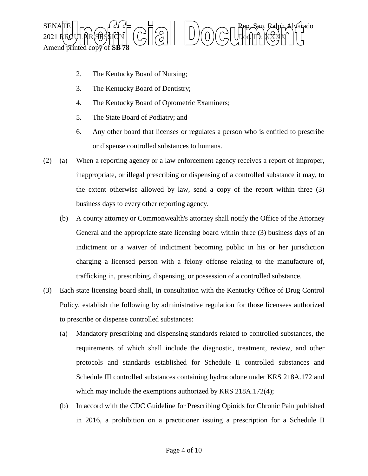

- 2. The Kentucky Board of Nursing;
- 3. The Kentucky Board of Dentistry;
- 4. The Kentucky Board of Optometric Examiners;
- 5. The State Board of Podiatry; and
- 6. Any other board that licenses or regulates a person who is entitled to prescribe or dispense controlled substances to humans.
- (2) (a) When a reporting agency or a law enforcement agency receives a report of improper, inappropriate, or illegal prescribing or dispensing of a controlled substance it may, to the extent otherwise allowed by law, send a copy of the report within three (3) business days to every other reporting agency.
	- (b) A county attorney or Commonwealth's attorney shall notify the Office of the Attorney General and the appropriate state licensing board within three (3) business days of an indictment or a waiver of indictment becoming public in his or her jurisdiction charging a licensed person with a felony offense relating to the manufacture of, trafficking in, prescribing, dispensing, or possession of a controlled substance.
- (3) Each state licensing board shall, in consultation with the Kentucky Office of Drug Control Policy, establish the following by administrative regulation for those licensees authorized to prescribe or dispense controlled substances:
	- (a) Mandatory prescribing and dispensing standards related to controlled substances, the requirements of which shall include the diagnostic, treatment, review, and other protocols and standards established for Schedule II controlled substances and Schedule III controlled substances containing hydrocodone under KRS 218A.172 and which may include the exemptions authorized by KRS 218A.172(4);
	- (b) In accord with the CDC Guideline for Prescribing Opioids for Chronic Pain published in 2016, a prohibition on a practitioner issuing a prescription for a Schedule II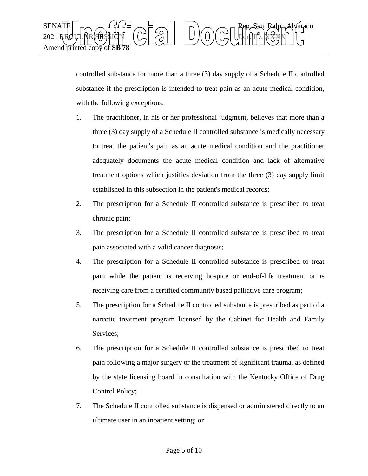

controlled substance for more than a three (3) day supply of a Schedule II controlled substance if the prescription is intended to treat pain as an acute medical condition, with the following exceptions:

- 1. The practitioner, in his or her professional judgment, believes that more than a three (3) day supply of a Schedule II controlled substance is medically necessary to treat the patient's pain as an acute medical condition and the practitioner adequately documents the acute medical condition and lack of alternative treatment options which justifies deviation from the three (3) day supply limit established in this subsection in the patient's medical records;
- 2. The prescription for a Schedule II controlled substance is prescribed to treat chronic pain;
- 3. The prescription for a Schedule II controlled substance is prescribed to treat pain associated with a valid cancer diagnosis;
- 4. The prescription for a Schedule II controlled substance is prescribed to treat pain while the patient is receiving hospice or end-of-life treatment or is receiving care from a certified community based palliative care program;
- 5. The prescription for a Schedule II controlled substance is prescribed as part of a narcotic treatment program licensed by the Cabinet for Health and Family Services;
- 6. The prescription for a Schedule II controlled substance is prescribed to treat pain following a major surgery or the treatment of significant trauma, as defined by the state licensing board in consultation with the Kentucky Office of Drug Control Policy;
- 7. The Schedule II controlled substance is dispensed or administered directly to an ultimate user in an inpatient setting; or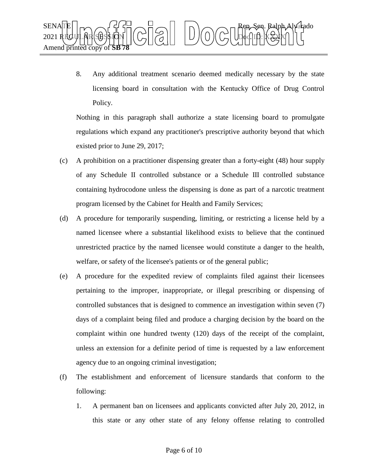

8. Any additional treatment scenario deemed medically necessary by the state licensing board in consultation with the Kentucky Office of Drug Control Policy.

Nothing in this paragraph shall authorize a state licensing board to promulgate regulations which expand any practitioner's prescriptive authority beyond that which existed prior to June 29, 2017;

- (c) A prohibition on a practitioner dispensing greater than a forty-eight (48) hour supply of any Schedule II controlled substance or a Schedule III controlled substance containing hydrocodone unless the dispensing is done as part of a narcotic treatment program licensed by the Cabinet for Health and Family Services;
- (d) A procedure for temporarily suspending, limiting, or restricting a license held by a named licensee where a substantial likelihood exists to believe that the continued unrestricted practice by the named licensee would constitute a danger to the health, welfare, or safety of the licensee's patients or of the general public;
- (e) A procedure for the expedited review of complaints filed against their licensees pertaining to the improper, inappropriate, or illegal prescribing or dispensing of controlled substances that is designed to commence an investigation within seven (7) days of a complaint being filed and produce a charging decision by the board on the complaint within one hundred twenty (120) days of the receipt of the complaint, unless an extension for a definite period of time is requested by a law enforcement agency due to an ongoing criminal investigation;
- (f) The establishment and enforcement of licensure standards that conform to the following:
	- 1. A permanent ban on licensees and applicants convicted after July 20, 2012, in this state or any other state of any felony offense relating to controlled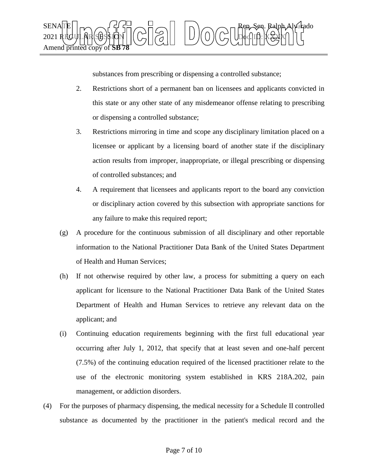

substances from prescribing or dispensing a controlled substance;

- 2. Restrictions short of a permanent ban on licensees and applicants convicted in this state or any other state of any misdemeanor offense relating to prescribing or dispensing a controlled substance;
- 3. Restrictions mirroring in time and scope any disciplinary limitation placed on a licensee or applicant by a licensing board of another state if the disciplinary action results from improper, inappropriate, or illegal prescribing or dispensing of controlled substances; and
- 4. A requirement that licensees and applicants report to the board any conviction or disciplinary action covered by this subsection with appropriate sanctions for any failure to make this required report;
- (g) A procedure for the continuous submission of all disciplinary and other reportable information to the National Practitioner Data Bank of the United States Department of Health and Human Services;
- (h) If not otherwise required by other law, a process for submitting a query on each applicant for licensure to the National Practitioner Data Bank of the United States Department of Health and Human Services to retrieve any relevant data on the applicant; and
- (i) Continuing education requirements beginning with the first full educational year occurring after July 1, 2012, that specify that at least seven and one-half percent (7.5%) of the continuing education required of the licensed practitioner relate to the use of the electronic monitoring system established in KRS 218A.202, pain management, or addiction disorders.
- (4) For the purposes of pharmacy dispensing, the medical necessity for a Schedule II controlled substance as documented by the practitioner in the patient's medical record and the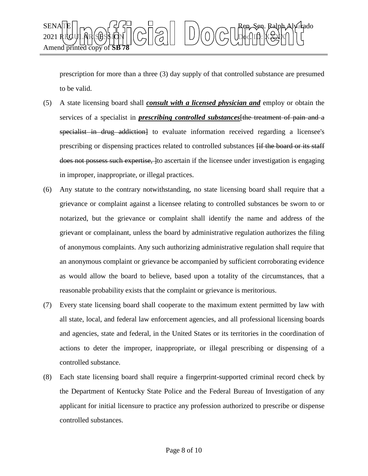

prescription for more than a three (3) day supply of that controlled substance are presumed to be valid.

- (5) A state licensing board shall *consult with a licensed physician and* employ or obtain the services of a specialist in *prescribing controlled substances*[the treatment of pain and a specialist in drug addiction] to evaluate information received regarding a licensee's prescribing or dispensing practices related to controlled substances [if the board or its staff does not possess such expertise, lto ascertain if the licensee under investigation is engaging in improper, inappropriate, or illegal practices.
- (6) Any statute to the contrary notwithstanding, no state licensing board shall require that a grievance or complaint against a licensee relating to controlled substances be sworn to or notarized, but the grievance or complaint shall identify the name and address of the grievant or complainant, unless the board by administrative regulation authorizes the filing of anonymous complaints. Any such authorizing administrative regulation shall require that an anonymous complaint or grievance be accompanied by sufficient corroborating evidence as would allow the board to believe, based upon a totality of the circumstances, that a reasonable probability exists that the complaint or grievance is meritorious.
- (7) Every state licensing board shall cooperate to the maximum extent permitted by law with all state, local, and federal law enforcement agencies, and all professional licensing boards and agencies, state and federal, in the United States or its territories in the coordination of actions to deter the improper, inappropriate, or illegal prescribing or dispensing of a controlled substance.
- (8) Each state licensing board shall require a fingerprint-supported criminal record check by the Department of Kentucky State Police and the Federal Bureau of Investigation of any applicant for initial licensure to practice any profession authorized to prescribe or dispense controlled substances.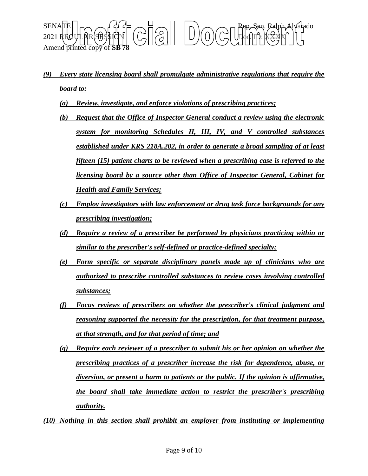

- *(9) Every state licensing board shall promulgate administrative regulations that require the board to:*
	- *(a) Review, investigate, and enforce violations of prescribing practices;*
	- *(b) Request that the Office of Inspector General conduct a review using the electronic system for monitoring Schedules II, III, IV, and V controlled substances established under KRS 218A.202, in order to generate a broad sampling of at least fifteen (15) patient charts to be reviewed when a prescribing case is referred to the licensing board by a source other than Office of Inspector General, Cabinet for Health and Family Services;*
	- *(c) Employ investigators with law enforcement or drug task force backgrounds for any prescribing investigation;*
	- *(d) Require a review of a prescriber be performed by physicians practicing within or similar to the prescriber's self-defined or practice-defined specialty;*
	- *(e) Form specific or separate disciplinary panels made up of clinicians who are authorized to prescribe controlled substances to review cases involving controlled substances;*
	- *(f) Focus reviews of prescribers on whether the prescriber's clinical judgment and reasoning supported the necessity for the prescription, for that treatment purpose, at that strength, and for that period of time; and*
	- *(g) Require each reviewer of a prescriber to submit his or her opinion on whether the prescribing practices of a prescriber increase the risk for dependence, abuse, or diversion, or present a harm to patients or the public. If the opinion is affirmative, the board shall take immediate action to restrict the prescriber's prescribing authority.*
- *(10) Nothing in this section shall prohibit an employer from instituting or implementing*